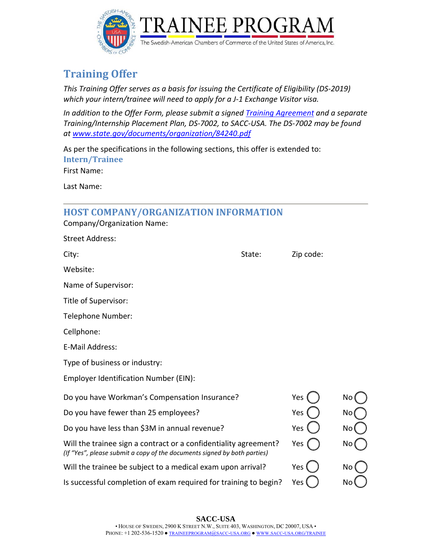

# **Training Offer**

*This Training Offer serves as a basis for issuing the Certificate of Eligibility (DS‐2019) which your intern/trainee will need to apply for a J‐1 Exchange Visitor visa.* 

*In addition to the Offer Form, please submit a signed Training Agreement and a separate Training/Internship Placement Plan, DS‐7002, to SACC‐USA. The DS‐7002 may be found at www.state.gov/documents/organization/84240.pdf*

As per the specifications in the following sections, this offer is extended to: **Intern/Trainee**

First Name:

Last Name:

# **HOST COMPANY/ORGANIZATION INFORMATION**

|  | Company/Organization Name: |  |
|--|----------------------------|--|
|--|----------------------------|--|

| <b>Street Address:</b>                                                                                                                       |        |           |     |
|----------------------------------------------------------------------------------------------------------------------------------------------|--------|-----------|-----|
| City:                                                                                                                                        | State: | Zip code: |     |
| Website:                                                                                                                                     |        |           |     |
| Name of Supervisor:                                                                                                                          |        |           |     |
| Title of Supervisor:                                                                                                                         |        |           |     |
| Telephone Number:                                                                                                                            |        |           |     |
| Cellphone:                                                                                                                                   |        |           |     |
| E-Mail Address:                                                                                                                              |        |           |     |
| Type of business or industry:                                                                                                                |        |           |     |
| Employer Identification Number (EIN):                                                                                                        |        |           |     |
| Do you have Workman's Compensation Insurance?                                                                                                |        | Yes       | No  |
| Do you have fewer than 25 employees?                                                                                                         |        | Yes       | No  |
| Do you have less than \$3M in annual revenue?                                                                                                |        | Yes       | No  |
| Will the trainee sign a contract or a confidentiality agreement?<br>(If "Yes", please submit a copy of the documents signed by both parties) |        | Yes       | No. |
| Will the trainee be subject to a medical exam upon arrival?                                                                                  |        | Yes       | No  |
| Is successful completion of exam required for training to begin?                                                                             |        | Yes       | No  |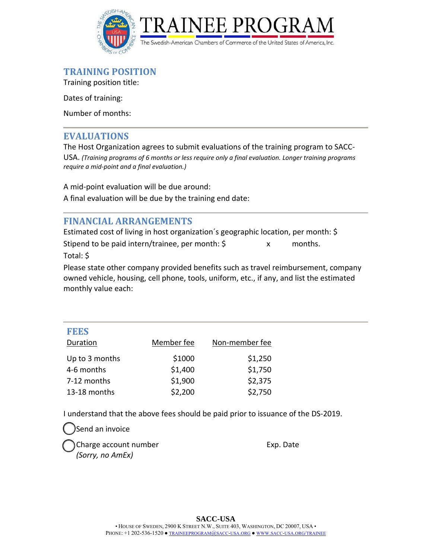

### **TRAINING POSITION**

Training position title:

Dates of training:

Number of months:

#### **EVALUATIONS**

The Host Organization agrees to submit evaluations of the training program to SACC‐ USA. *(Training programs of 6 months or less require only a final evaluation. Longer training programs require a mid‐point and a final evaluation.)*

A mid‐point evaluation will be due around:

A final evaluation will be due by the training end date:

## **FINANCIAL ARRANGEMENTS**

Estimated cost of living in host organization´s geographic location, per month: \$

Stipend to be paid intern/trainee, per month:  $\frac{1}{2}$  x months.

Total: \$

Please state other company provided benefits such as travel reimbursement, company owned vehicle, housing, cell phone, tools, uniform, etc., if any, and list the estimated monthly value each:

| <b>FEES</b><br>Duration | Member fee | Non-member fee |
|-------------------------|------------|----------------|
| Up to 3 months          | \$1000     | \$1,250        |
| 4-6 months              | \$1,400    | \$1,750        |
| 7-12 months             | \$1,900    | \$2,375        |
| 13-18 months            | \$2,200    | \$2,750        |

I understand that the above fees should be paid prior to issuance of the DS‐2019.

Send an invoice Charge account number **Exp.** Date *(Sorry, no AmEx)*